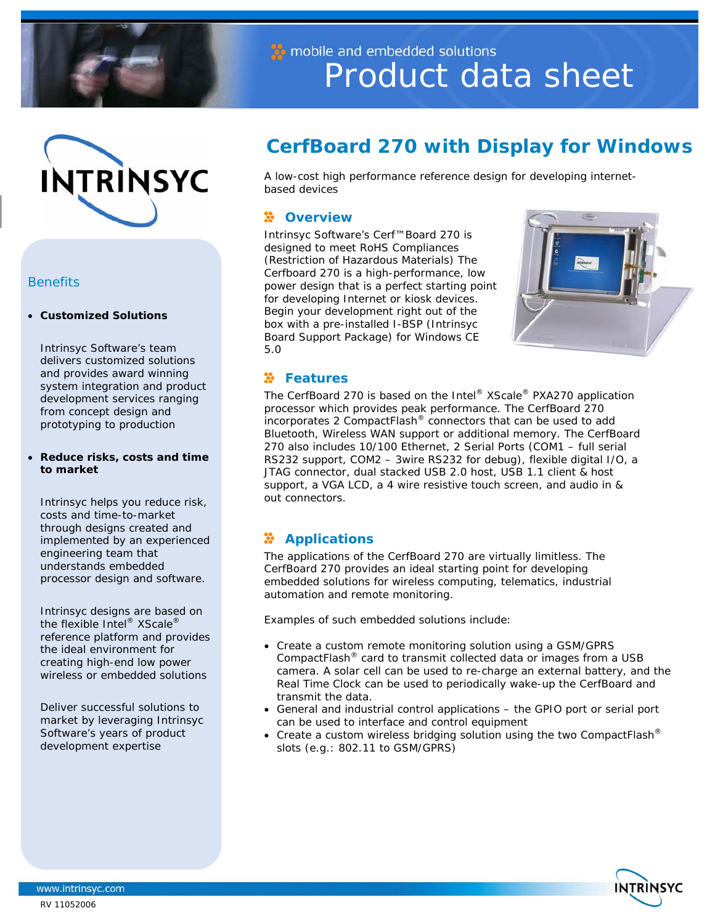



## *Benefits*

#### • **Customized Solutions**

Intrinsyc Software's team delivers customized solutions and provides award winning system integration and product development services ranging from concept design and prototyping to production

#### • **Reduce risks, costs and time to market**

Intrinsyc helps you reduce risk, costs and time-to-market through designs created and implemented by an experienced engineering team that understands embedded processor design and software.

Intrinsyc designs are based on the flexible Intel® XScale® reference platform and provides the ideal environment for creating high-end low power wireless or embedded solutions

Deliver successful solutions to market by leveraging Intrinsyc Software's years of product development expertise

# Product data sheet

## **CerfBoard 270 with Display for Windows**

A low-cost high performance reference design for developing internetbased devices

## **2** Overview

Intrinsyc Software's Cerf™Board 270 is designed to meet RoHS Compliances (Restriction of Hazardous Materials) The Cerfboard 270 is a high-performance, low power design that is a perfect starting point for developing Internet or kiosk devices. Begin your development right out of the box with a pre-installed I-BSP (Intrinsyc Board Support Package) for Windows CE 5.0

mobile and embedded solutions



## **Features**

The CerfBoard 270 is based on the Intel® XScale® PXA270 application processor which provides peak performance. The CerfBoard 270 incorporates 2 CompactFlash® connectors that can be used to add Bluetooth, Wireless WAN support or additional memory. The CerfBoard 270 also includes 10/100 Ethernet, 2 Serial Ports (COM1 – full serial RS232 support, COM2 – 3wire RS232 for debug), flexible digital I/O, a JTAG connector, dual stacked USB 2.0 host, USB 1.1 client & host support, a VGA LCD, a 4 wire resistive touch screen, and audio in & out connectors.

## **Applications**

The applications of the CerfBoard 270 are virtually limitless. The CerfBoard 270 provides an ideal starting point for developing embedded solutions for wireless computing, telematics, industrial automation and remote monitoring.

Examples of such embedded solutions include:

- Create a custom remote monitoring solution using a GSM/GPRS CompactFlash® card to transmit collected data or images from a USB camera. A solar cell can be used to re-charge an external battery, and the Real Time Clock can be used to periodically wake-up the CerfBoard and transmit the data.
- General and industrial control applications the GPIO port or serial port can be used to interface and control equipment
- Create a custom wireless bridging solution using the two CompactFlash<sup>®</sup> slots (e.g.: 802.11 to GSM/GPRS)